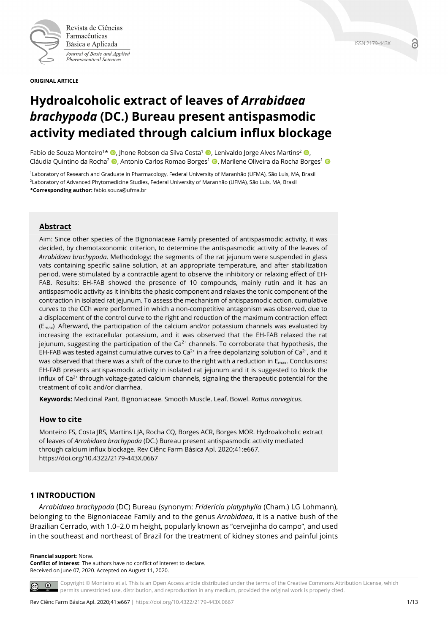

Revista de Ciências Farmacêuticas Básica e Aplicada Journal of Basic and Applied Pharmaceutical Sciences

**ORIGINAL ARTICLE**

# **Hydroalcoholic extract of leaves of** *Arrabidaea brachypoda* **(DC.) Bureau present antispasmodic activity mediated through calcium influx blockage**

Fabio de Souza Monteiro<sup>1\*</sup> (D. Jhone Robson da Silva Costa<sup>1</sup> (D. Lenivaldo Jorge Alves Martins<sup>2</sup> (D. Cláudia Quintino da Rocha<sup>2</sup> (**D**. Antonio Carlos Romao Borges<sup>1</sup> (**D**. Marilene Oliveira da Rocha Borges<sup>1</sup> (**D** 

1Laboratory of Research and Graduate in Pharmacology, Federal University of Maranhão (UFMA), São Luis, MA, Brasil 2Laboratory of Advanced Phytomedicine Studies, Federal University of Maranhão (UFMA), São Luis, MA, Brasil **\*Corresponding author:** fabio.souza@ufma.br

# **Abstract**

Aim: Since other species of the Bignoniaceae Family presented of antispasmodic activity, it was decided, by chemotaxonomic criterion, to determine the antispasmodic activity of the leaves of *Arrabidaea brachypoda*. Methodology: the segments of the rat jejunum were suspended in glass vats containing specific saline solution, at an appropriate temperature, and after stabilization period, were stimulated by a contractile agent to observe the inhibitory or relaxing effect of EH-FAB. Results: EH-FAB showed the presence of 10 compounds, mainly rutin and it has an antispasmodic activity as it inhibits the phasic component and relaxes the tonic component of the contraction in isolated rat jejunum. To assess the mechanism of antispasmodic action, cumulative curves to the CCh were performed in which a non-competitive antagonism was observed, due to a displacement of the control curve to the right and reduction of the maximum contraction effect  $(E<sub>max</sub>)$ . Afterward, the participation of the calcium and/or potassium channels was evaluated by increasing the extracellular potassium, and it was observed that the EH-FAB relaxed the rat jejunum, suggesting the participation of the  $Ca^{2+}$  channels. To corroborate that hypothesis, the EH-FAB was tested against cumulative curves to Ca<sup>2+</sup> in a free depolarizing solution of Ca<sup>2+</sup>, and it was observed that there was a shift of the curve to the right with a reduction in  $E_{\text{max}}$ . Conclusions: EH-FAB presents antispasmodic activity in isolated rat jejunum and it is suggested to block the influx of  $Ca<sup>2+</sup>$  through voltage-gated calcium channels, signaling the therapeutic potential for the treatment of colic and/or diarrhea.

**Keywords:** Medicinal Pant. Bignoniaceae. Smooth Muscle. Leaf. Bowel. *Rattus norvegicus*.

# **How to cite**

Monteiro FS, Costa JRS, Martins LJA, Rocha CQ, Borges ACR, Borges MOR. Hydroalcoholic extract of leaves of *Arrabidaea brachypoda* (DC.) Bureau present antispasmodic activity mediated through calcium influx blockage. Rev Ciênc Farm Básica Apl. 2020;41:e667. https://doi.org/10.4322/2179-443X.0667

# **1 INTRODUCTION**

*Arrabidaea brachypoda* (DC) Bureau (synonym: *Fridericia platyphylla* (Cham.) LG Lohmann), belonging to the Bignoniaceae Family and to the genus *Arrabidaea*, it is a native bush of the Brazilian Cerrado, with 1.0–2.0 m height, popularly known as "cervejinha do campo", and used in the southeast and northeast of Brazil for the treatment of kidney stones and painful joints

**Financial support**: None.

**Conflict of interest**: The authors have no conflict of interest to declare. Received on June 07, 2020. Accepted on August 11, 2020.

Copyright © Monteiro et al. This is an Open Access article distributed under the terms of the Creative Commons Attribution License, which permits unrestricted use, distribution, and reproduction in any medium, provided the original work is properly cited.

**ISSN 2179-443X**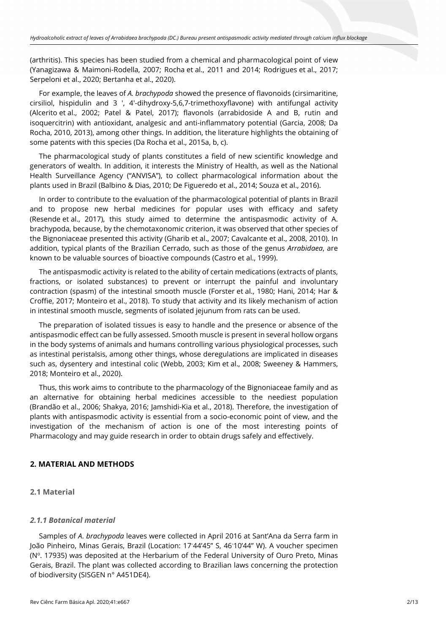(arthritis). This species has been studied from a chemical and pharmacological point of view (Yanagizawa & Maimoni-Rodella, 2007; Rocha et al., 2011 and 2014; Rodrigues et al., 2017; Serpeloni et al., 2020; Bertanha et al., 2020).

For example, the leaves of *A. brachypoda* showed the presence of flavonoids (cirsimaritine, cirsiliol, hispidulin and 3 ', 4'-dihydroxy-5,6,7-trimethoxyflavone) with antifungal activity (Alcerito et al., 2002; Patel & Patel, 2017); flavonols (arrabidoside A and B, rutin and isoquercitrin) with antioxidant, analgesic and anti-inflammatory potential (Garcia, 2008; Da Rocha, 2010, 2013), among other things. In addition, the literature highlights the obtaining of some patents with this species (Da Rocha et al., 2015a, b, c).

The pharmacological study of plants constitutes a field of new scientific knowledge and generators of wealth. In addition, it interests the Ministry of Health, as well as the National Health Surveillance Agency ("ANVISA"), to collect pharmacological information about the plants used in Brazil (Balbino & Dias, 2010; De Figueredo et al., 2014; Souza et al., 2016).

In order to contribute to the evaluation of the pharmacological potential of plants in Brazil and to propose new herbal medicines for popular uses with efficacy and safety (Resende et al., 2017), this study aimed to determine the antispasmodic activity of A. brachypoda, because, by the chemotaxonomic criterion, it was observed that other species of the Bignoniaceae presented this activity (Gharib et al., 2007; Cavalcante et al., 2008, 2010). In addition, typical plants of the Brazilian Cerrado, such as those of the genus *Arrabidaea*, are known to be valuable sources of bioactive compounds (Castro et al., 1999).

The antispasmodic activity is related to the ability of certain medications (extracts of plants, fractions, or isolated substances) to prevent or interrupt the painful and involuntary contraction (spasm) of the intestinal smooth muscle (Forster et al., 1980; Hani, 2014; Har & Croffie, 2017; Monteiro et al., 2018). To study that activity and its likely mechanism of action in intestinal smooth muscle, segments of isolated jejunum from rats can be used.

The preparation of isolated tissues is easy to handle and the presence or absence of the antispasmodic effect can be fully assessed. Smooth muscle is present in several hollow organs in the body systems of animals and humans controlling various physiological processes, such as intestinal peristalsis, among other things, whose deregulations are implicated in diseases such as, dysentery and intestinal colic (Webb, 2003; Kim et al., 2008; Sweeney & Hammers, 2018; Monteiro et al., 2020).

Thus, this work aims to contribute to the pharmacology of the Bignoniaceae family and as an alternative for obtaining herbal medicines accessible to the neediest population (Brandão et al., 2006; Shakya, 2016; Jamshidi-Kia et al., 2018). Therefore, the investigation of plants with antispasmodic activity is essential from a socio-economic point of view, and the investigation of the mechanism of action is one of the most interesting points of Pharmacology and may guide research in order to obtain drugs safely and effectively.

# **2. MATERIAL AND METHODS**

**2.1 Material**

# *2.1.1 Botanical material*

Samples of *A*. *brachypoda* leaves were collected in April 2016 at Sant'Ana da Serra farm in João Pinheiro, Minas Gerais, Brazil (Location: 17◦ 44'45" S, 46◦ 10'44" W). A voucher specimen  $(N<sup>o</sup>$ . 17935) was deposited at the Herbarium of the Federal University of Ouro Preto, Minas Gerais, Brazil. The plant was collected according to Brazilian laws concerning the protection of biodiversity (SISGEN n° A451DE4).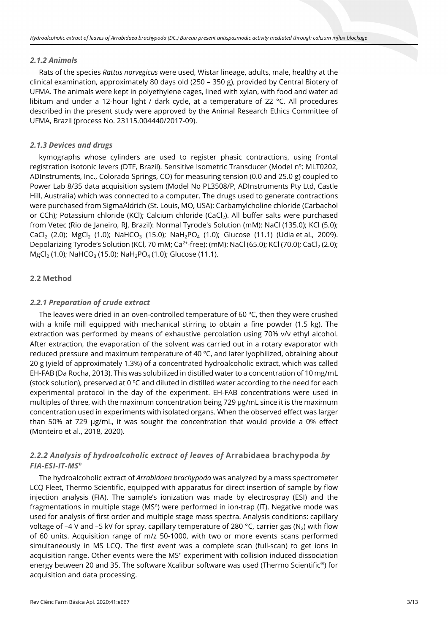#### *2.1.2 Animals*

Rats of the species *Rattus norvegicus* were used, Wistar lineage, adults, male, healthy at the clinical examination, approximately 80 days old (250 – 350 g), provided by Central Biotery of UFMA. The animals were kept in polyethylene cages, lined with xylan, with food and water ad libitum and under a 12-hour light / dark cycle, at a temperature of 22 °C. All procedures described in the present study were approved by the Animal Research Ethics Committee of UFMA, Brazil (process No. 23115.004440/2017-09).

## *2.1.3 Devices and drugs*

kymographs whose cylinders are used to register phasic contractions, using frontal registration isotonic levers (DTF, Brazil). Sensitive Isometric Transducer (Model nº: MLT0202, ADInstruments, Inc., Colorado Springs, CO) for measuring tension (0.0 and 25.0 g) coupled to Power Lab 8/35 data acquisition system (Model No PL3508/P, ADInstruments Pty Ltd, Castle Hill, Australia) which was connected to a computer. The drugs used to generate contractions were purchased from SigmaAldrich (St. Louis, MO, USA): Carbamylcholine chloride (Carbachol or CCh); Potassium chloride (KCl); Calcium chloride (CaCl<sub>2</sub>). All buffer salts were purchased from Vetec (Rio de Janeiro, RJ, Brazil): Normal Tyrode's Solution (mM): NaCl (135.0); KCl (5.0); CaCl<sub>2</sub> (2.0); MgCl<sub>2</sub> (1.0); NaHCO<sub>3</sub> (15.0); NaH<sub>2</sub>PO<sub>4</sub> (1.0); Glucose (11.1) (Udia et al., 2009). Depolarizing Tyrode's Solution (KCl, 70 mM; Ca<sup>2+</sup>-free): (mM): NaCl (65.0); KCl (70.0); CaCl<sub>2</sub> (2.0);  $MgCl<sub>2</sub>$  (1.0); NaHCO<sub>3</sub> (15.0); NaH<sub>2</sub>PO<sub>4</sub> (1.0); Glucose (11.1).

# **2.2 Method**

## *2.2.1 Preparation of crude extract*

The leaves were dried in an oven-controlled temperature of 60  $\degree$ C, then they were crushed with a knife mill equipped with mechanical stirring to obtain a fine powder (1.5 kg). The extraction was performed by means of exhaustive percolation using 70% v/v ethyl alcohol. After extraction, the evaporation of the solvent was carried out in a rotary evaporator with reduced pressure and maximum temperature of 40  $\degree$ C, and later lyophilized, obtaining about 20 g (yield of approximately 1.3%) of a concentrated hydroalcoholic extract, which was called EH-FAB (Da Rocha, 2013). This was solubilized in distilled water to a concentration of 10 mg/mL (stock solution), preserved at 0 °C and diluted in distilled water according to the need for each experimental protocol in the day of the experiment. EH-FAB concentrations were used in multiples of three, with the maximum concentration being 729 µg/mL since it is the maximum concentration used in experiments with isolated organs. When the observed effect was larger than 50% at 729 µg/mL, it was sought the concentration that would provide a 0% effect (Monteiro et al., 2018, 2020).

# *2.2.2 Analysis of hydroalcoholic extract of leaves of* **Arrabidaea brachypoda** *by FIA-ESI-IT-MSn*

The hydroalcoholic extract of *Arrabidaea brachypoda* was analyzed by a mass spectrometer LCQ Fleet, Thermo Scientific, equipped with apparatus for direct insertion of sample by flow injection analysis (FIA). The sample's ionization was made by electrospray (ESI) and the fragmentations in multiple stage (MS<sup>n</sup>) were performed in ion-trap (IT). Negative mode was used for analysis of first order and multiple stage mass spectra. Analysis conditions: capillary voltage of –4 V and –5 kV for spray, capillary temperature of 280 °C, carrier gas (N<sub>2</sub>) with flow of 60 units. Acquisition range of m/z 50-1000, with two or more events scans performed simultaneously in MS LCQ. The first event was a complete scan (full-scan) to get ions in acquisition range. Other events were the MS<sup>n</sup> experiment with collision induced dissociation energy between 20 and 35. The software Xcalibur software was used (Thermo Scientific®) for acquisition and data processing.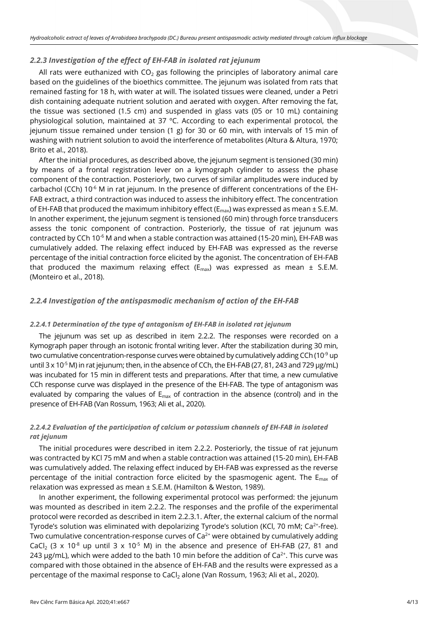#### *2.2.3 Investigation of the effect of EH-FAB in isolated rat jejunum*

All rats were euthanized with  $CO<sub>2</sub>$  gas following the principles of laboratory animal care based on the guidelines of the bioethics committee. The jejunum was isolated from rats that remained fasting for 18 h, with water at will. The isolated tissues were cleaned, under a Petri dish containing adequate nutrient solution and aerated with oxygen. After removing the fat, the tissue was sectioned (1.5 cm) and suspended in glass vats (05 or 10 mL) containing physiological solution, maintained at 37 ºC. According to each experimental protocol, the jejunum tissue remained under tension (1 g) for 30 or 60 min, with intervals of 15 min of washing with nutrient solution to avoid the interference of metabolites (Altura & Altura, 1970; Brito et al., 2018).

After the initial procedures, as described above, the jejunum segment is tensioned (30 min) by means of a frontal registration lever on a kymograph cylinder to assess the phase component of the contraction. Posteriorly, two curves of similar amplitudes were induced by carbachol (CCh)  $10^{-6}$  M in rat jejunum. In the presence of different concentrations of the EH-FAB extract, a third contraction was induced to assess the inhibitory effect. The concentration of EH-FAB that produced the maximum inhibitory effect ( $E_{max}$ ) was expressed as mean  $\pm$  S.E.M. In another experiment, the jejunum segment is tensioned (60 min) through force transducers assess the tonic component of contraction. Posteriorly, the tissue of rat jejunum was contracted by CCh 10<sup>-6</sup> M and when a stable contraction was attained (15-20 min), EH-FAB was cumulatively added. The relaxing effect induced by EH-FAB was expressed as the reverse percentage of the initial contraction force elicited by the agonist. The concentration of EH-FAB that produced the maximum relaxing effect ( $E_{max}$ ) was expressed as mean  $\pm$  S.E.M. (Monteiro et al., 2018).

# *2.2.4 Investigation of the antispasmodic mechanism of action of the EH-FAB*

#### *2.2.4.1 Determination of the type of antagonism of EH-FAB in isolated rat jejunum*

The jejunum was set up as described in item 2.2.2. The responses were recorded on a Kymograph paper through an isotonic frontal writing lever. After the stabilization during 30 min, two cumulative concentration-response curves were obtained by cumulatively adding CCh (10 $^9$  up until  $3 \times 10^{-5}$  M) in rat jejunum; then, in the absence of CCh, the EH-FAB (27, 81, 243 and 729 µg/mL) was incubated for 15 min in different tests and preparations. After that time, a new cumulative CCh response curve was displayed in the presence of the EH-FAB. The type of antagonism was evaluated by comparing the values of  $E_{\text{max}}$  of contraction in the absence (control) and in the presence of EH-FAB (Van Rossum, 1963; Ali et al., 2020).

# *2.2.4.2 Evaluation of the participation of calcium or potassium channels of EH-FAB in isolated rat jejunum*

The initial procedures were described in item 2.2.2. Posteriorly, the tissue of rat jejunum was contracted by KCl 75 mM and when a stable contraction was attained (15-20 min), EH-FAB was cumulatively added. The relaxing effect induced by EH-FAB was expressed as the reverse percentage of the initial contraction force elicited by the spasmogenic agent. The  $E_{\text{max}}$  of relaxation was expressed as mean ± S.E.M. (Hamilton & Weston, 1989).

In another experiment, the following experimental protocol was performed: the jejunum was mounted as described in item 2.2.2. The responses and the profile of the experimental protocol were recorded as described in item 2.2.3.1. After, the external calcium of the normal Tyrode's solution was eliminated with depolarizing Tyrode's solution (KCl, 70 mM;  $Ca<sup>2+</sup>$ -free). Two cumulative concentration-response curves of  $Ca<sup>2+</sup>$  were obtained by cumulatively adding CaCl<sub>2</sub> (3 x 10<sup>-8</sup> up until 3 x 10<sup>-5</sup> M) in the absence and presence of EH-FAB (27, 81 and 243  $\mu$ g/mL), which were added to the bath 10 min before the addition of Ca<sup>2+</sup>. This curve was compared with those obtained in the absence of EH-FAB and the results were expressed as a percentage of the maximal response to CaCl<sub>2</sub> alone (Van Rossum, 1963; Ali et al., 2020).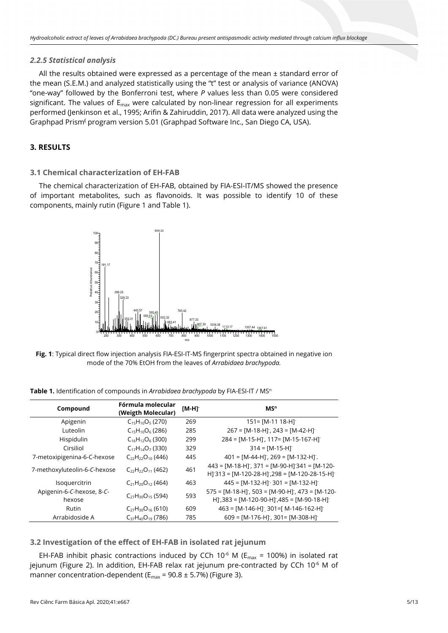# *2.2.5 Statistical analysis*

All the results obtained were expressed as a percentage of the mean  $\pm$  standard error of the mean (S.E.M.) and analyzed statistically using the "t" test or analysis of variance (ANOVA) "one-way" followed by the Bonferroni test, where *P* values less than 0.05 were considered significant. The values of  $E_{\text{max}}$  were calculated by non-linear regression for all experiments performed (Jenkinson et al., 1995; Arifin & Zahiruddin, 2017). All data were analyzed using the Graphpad Prism**(** program version 5.01 (Graphpad Software Inc., San Diego CA, USA).

# **3. RESULTS**

## **3.1 Chemical characterization of EH-FAB**

The chemical characterization of EH-FAB, obtained by FIA-ESI-IT/MS showed the presence of important metabolites, such as flavonoids. It was possible to identify 10 of these components, mainly rutin (Figure 1 and Table 1).



**Fig. 1**: Typical direct flow injection analysis FIA-ESI-IT-MS fingerprint spectra obtained in negative ion mode of the 70% EtOH from the leaves of *Arrabidaea brachypoda.*

**Table 1.** Identification of compounds in *Arrabidaea brachypoda* by FIA-ESI-IT / MSn

| Compound                            | Fórmula molecular<br>(Weigth Molecular) | $[M-H]$ | MS <sup>n</sup>                                                                                                              |
|-------------------------------------|-----------------------------------------|---------|------------------------------------------------------------------------------------------------------------------------------|
| Apigenin                            | $C_{15}H_{10}O_5$ (270)                 | 269     | $151 = [M-11 18-H]$                                                                                                          |
| Luteolin                            | $C_{15}H_{10}O_6$ (286)                 | 285     | $267 = [M-18-H]$ , 243 = $[M-42-H]$                                                                                          |
| Hispidulin                          | $C_{16}H_{12}O_6$ (300)                 | 299     | $284 = [M-15-H]$ , 117= $[M-15-167-H]$                                                                                       |
| Cirsiliol                           | $C_{17}H_{14}O_7$ (330)                 | 329     | $314 = [M-15-H]$                                                                                                             |
| 7-metoxipigenina-6-C-hexose         | $C_{22}H_{22}O_{10}$ (446)              | 445     | $401 = [M-44-H]$ , $269 = [M-132-H]$ .                                                                                       |
| 7-methoxyluteolin-6-C-hexose        | $C_{22}H_{22}O_{11}$ (462)              | 461     | $443 = [M-18-H]$ ; 371 = $[M-90-H]$ 341 = $[M-120-H]$<br>$H$ ] 313 = [M-120-28-H], 298 = [M-120-28-15-H]                     |
| Isoquercitrin                       | $C_{21}H_{20}O_{12}$ (464)              | 463     | $445 = [M-132-H]$ 301 = [M-132-H]                                                                                            |
| Apigenin-6-C-hexose, 8-C-<br>hexose | $C_{27}H_{30}O_{15}$ (594)              | 593     | $575 = [M-18-H]$ , $503 = [M-90-H]$ , $473 = [M-120-H]$<br>H <sub>1</sub> ,383 = [M-120-90-H <sub>1</sub> ,485 = [M-90-18-H] |
| Rutin                               | $C_{27}H_{30}O_{16}$ (610)              | 609     | $463 = [M-146-H]$ 301=[ M-146-162-H]                                                                                         |
| Arrabidoside A                      | $C_{37}H_{40}O_{19}$ (786)              | 785     | $609 = [M-176-H]$ ; 301 = $[M-308-H]$                                                                                        |

**3.2 Investigation of the effect of EH-FAB in isolated rat jejunum**

EH-FAB inhibit phasic contractions induced by CCh 10<sup>-6</sup> M ( $E_{max}$  = 100%) in isolated rat jejunum (Figure 2). In addition, EH-FAB relax rat jejunum pre-contracted by CCh 10<sup>-6</sup> M of manner concentration-dependent ( $E_{max}$  = 90.8 ± 5.7%) (Figure 3).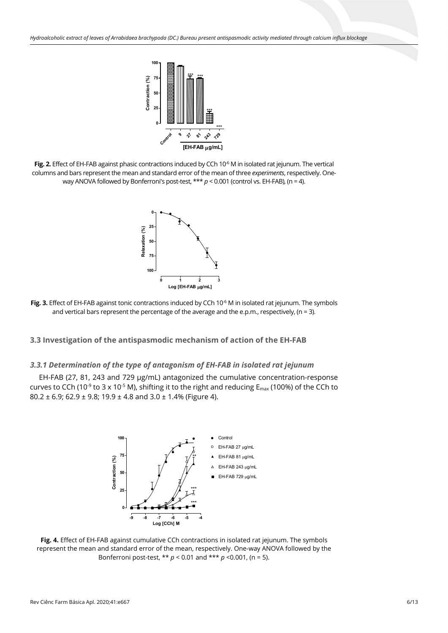

Fig. 2. Effect of EH-FAB against phasic contractions induced by CCh 10<sup>-6</sup> M in isolated rat jejunum. The vertical columns and bars represent the mean and standard error of the mean of three *experiments*, respectively. Oneway ANOVA followed by Bonferroni's post-test, \*\*\*  $p < 0.001$  (control vs. EH-FAB), (n = 4).



**Fig. 3.** Effect of EH-FAB against tonic contractions induced by CCh 10<sup>-6</sup> M in isolated rat jejunum. The symbols and vertical bars represent the percentage of the average and the e.p.m., respectively,  $(n = 3)$ .

## **3.3 Investigation of the antispasmodic mechanism of action of the EH-FAB**

#### *3.3.1 Determination of the type of antagonism of EH-FAB in isolated rat jejunum*

EH-FAB (27, 81, 243 and 729 µg/mL) antagonized the cumulative concentration-response curves to CCh (10<sup>-9</sup> to 3 x 10<sup>-5</sup> M), shifting it to the right and reducing  $E_{\text{max}}$  (100%) of the CCh to 80.2 ± 6.9; 62.9 ± 9.8; 19.9 ± 4.8 and 3.0 ± 1.4% (Figure 4).



**Fig. 4.** Effect of EH-FAB against cumulative CCh contractions in isolated rat jejunum. The symbols represent the mean and standard error of the mean, respectively. One-way ANOVA followed by the Bonferroni post-test, \*\* *p* < 0.01 and \*\*\* *p* <0.001, (n = 5).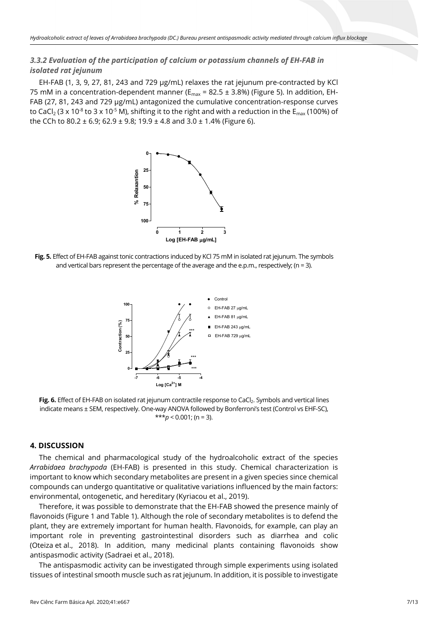# *3.3.2 Evaluation of the participation of calcium or potassium channels of EH-FAB in isolated rat jejunum*

EH-FAB (1, 3, 9, 27, 81, 243 and 729 µg/mL) relaxes the rat jejunum pre-contracted by KCl 75 mM in a concentration-dependent manner ( $E_{max}$  = 82.5 ± 3.8%) (Figure 5). In addition, EH-FAB (27, 81, 243 and 729 µg/mL) antagonized the cumulative concentration-response curves to CaCl<sub>2</sub> (3 x 10<sup>-8</sup> to 3 x 10<sup>-5</sup> M), shifting it to the right and with a reduction in the  $E_{\text{max}}$  (100%) of the CCh to 80.2  $\pm$  6.9; 62.9  $\pm$  9.8; 19.9  $\pm$  4.8 and 3.0  $\pm$  1.4% (Figure 6).



**Fig. 5.** Effect of EH-FAB against tonic contractions induced by KCl 75 mM in isolated rat jejunum. The symbols and vertical bars represent the percentage of the average and the e.p.m., respectively; ( $n = 3$ ).



Fig. 6. Effect of EH-FAB on isolated rat jejunum contractile response to CaCl<sub>2</sub>. Symbols and vertical lines indicate means ± SEM, respectively. One-way ANOVA followed by Bonferroni's test (Control vs EHF-SC),  $***p < 0.001$ ; (n = 3).

#### **4. DISCUSSION**

The chemical and pharmacological study of the hydroalcoholic extract of the species *Arrabidaea brachypoda* (EH-FAB) is presented in this study. Chemical characterization is important to know which secondary metabolites are present in a given species since chemical compounds can undergo quantitative or qualitative variations influenced by the main factors: environmental, ontogenetic, and hereditary (Kyriacou et al., 2019).

Therefore, it was possible to demonstrate that the EH-FAB showed the presence mainly of flavonoids (Figure 1 and Table 1). Although the role of secondary metabolites is to defend the plant, they are extremely important for human health. Flavonoids, for example, can play an important role in preventing gastrointestinal disorders such as diarrhea and colic (Oteiza et al., 2018). In addition, many medicinal plants containing flavonoids show antispasmodic activity (Sadraei et al., 2018).

The antispasmodic activity can be investigated through simple experiments using isolated tissues of intestinal smooth muscle such as rat jejunum. In addition, it is possible to investigate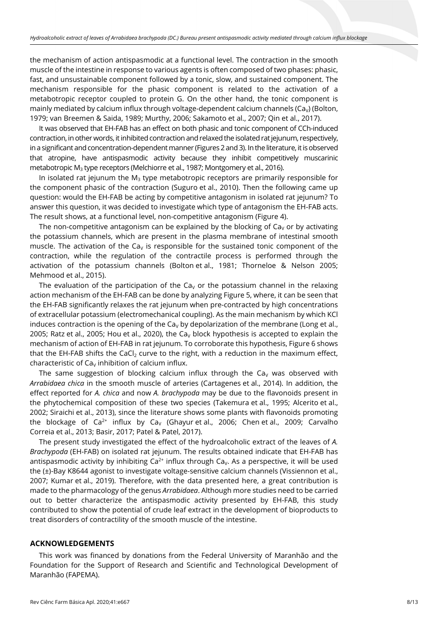the mechanism of action antispasmodic at a functional level. The contraction in the smooth muscle of the intestine in response to various agents is often composed of two phases: phasic, fast, and unsustainable component followed by a tonic, slow, and sustained component. The mechanism responsible for the phasic component is related to the activation of a metabotropic receptor coupled to protein G. On the other hand, the tonic component is mainly mediated by calcium influx through voltage-dependent calcium channels ( $Ca<sub>v</sub>$ ) (Bolton, 1979; van Breemen & Saida, 1989; Murthy, 2006; Sakamoto et al., 2007; Qin et al., 2017).

It was observed that EH-FAB has an effect on both phasic and tonic component of CCh-induced contraction, in other words, it inhibited contraction and relaxed the isolated rat jejunum, respectively, in a significant and concentration-dependent manner (Figures 2 and 3). In the literature, it is observed that atropine, have antispasmodic activity because they inhibit competitively muscarinic metabotropic M<sub>3</sub> type receptors (Melchiorre et al., 1987; Montgomery et al., 2016).

In isolated rat jejunum the  $M<sub>3</sub>$  type metabotropic receptors are primarily responsible for the component phasic of the contraction (Suguro et al., 2010). Then the following came up question: would the EH-FAB be acting by competitive antagonism in isolated rat jejunum? To answer this question, it was decided to investigate which type of antagonism the EH-FAB acts. The result shows, at a functional level, non-competitive antagonism (Figure 4).

The non-competitive antagonism can be explained by the blocking of  $Ca<sub>v</sub>$  or by activating the potassium channels, which are present in the plasma membrane of intestinal smooth muscle. The activation of the Ca<sub>v</sub> is responsible for the sustained tonic component of the contraction, while the regulation of the contractile process is performed through the activation of the potassium channels (Bolton et al., 1981; Thorneloe & Nelson 2005; Mehmood et al., 2015).

The evaluation of the participation of the Ca<sub>v</sub> or the potassium channel in the relaxing action mechanism of the EH-FAB can be done by analyzing Figure 5, where, it can be seen that the EH-FAB significantly relaxes the rat jejunum when pre-contracted by high concentrations of extracellular potassium (electromechanical coupling). As the main mechanism by which KCl induces contraction is the opening of the Ca<sub>v</sub> by depolarization of the membrane (Long et al., 2005; Ratz et al., 2005; Hou et al., 2020), the Ca<sub>v</sub> block hypothesis is accepted to explain the mechanism of action of EH-FAB in rat jejunum. To corroborate this hypothesis, Figure 6 shows that the EH-FAB shifts the CaCl<sub>2</sub> curve to the right, with a reduction in the maximum effect, characteristic of  $Ca<sub>V</sub>$  inhibition of calcium influx.

The same suggestion of blocking calcium influx through the Ca<sub>v</sub> was observed with *Arrabidaea chica* in the smooth muscle of arteries (Cartagenes et al., 2014). In addition, the effect reported for *A. chica* and now *A. brachypoda* may be due to the flavonoids present in the phytochemical composition of these two species (Takemura et al., 1995; Alcerito et al., 2002; Siraichi et al., 2013), since the literature shows some plants with flavonoids promoting the blockage of Ca<sup>2+</sup> influx by Ca<sub>V</sub> (Ghayur et al., 2006; Chen et al., 2009; Carvalho Correia et al., 2013; Basir, 2017; Patel & Patel, 2017).

The present study investigated the effect of the hydroalcoholic extract of the leaves of *A. Brachypoda* (EH-FAB) on isolated rat jejunum. The results obtained indicate that EH-FAB has antispasmodic activity by inhibiting  $Ca^{2+}$  influx through Ca<sub>y</sub>. As a perspective, it will be used the (±)-Bay K8644 agonist to investigate voltage-sensitive calcium channels (Vissiennon et al., 2007; Kumar et al., 2019). Therefore, with the data presented here, a great contribution is made to the pharmacology of the genus *Arrabidaea*. Although more studies need to be carried out to better characterize the antispasmodic activity presented by EH-FAB, this study contributed to show the potential of crude leaf extract in the development of bioproducts to treat disorders of contractility of the smooth muscle of the intestine.

## **ACKNOWLEDGEMENTS**

This work was financed by donations from the Federal University of Maranhão and the Foundation for the Support of Research and Scientific and Technological Development of Maranhão (FAPEMA).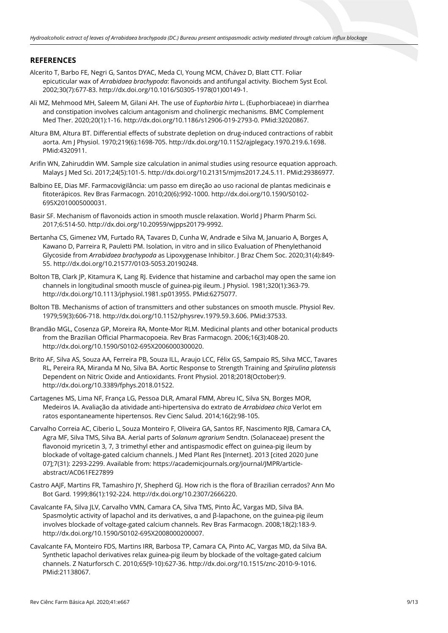# **REFERENCES**

- Alcerito T, Barbo FE, Negri G, Santos DYAC, Meda CI, Young MCM, Chávez D, Blatt CTT. Foliar epicuticular wax of *Arrabidaea brachypoda*: flavonoids and antifungal activity. Biochem Syst Ecol. 2002;30(7):677-83. [http://dx.doi.org/10.1016/S0305-1978\(01\)00149-1.](https://doi.org/10.1016/S0305-1978(01)00149-1)
- Ali MZ, Mehmood MH, Saleem M, Gilani AH. The use of *Euphorbia hirta* L. (Euphorbiaceae) in diarrhea and constipation involves calcium antagonism and cholinergic mechanisms. BMC Complement Med Ther. 2020;20(1):1-16[. http://dx.doi.org/10.1186/s12906-019-2793-0.](https://doi.org/10.1186/s12906-019-2793-0) [PMid:32020867.](https://www.ncbi.nlm.nih.gov/entrez/query.fcgi?cmd=Retrieve&db=PubMed&list_uids=32020867&dopt=Abstract)
- Altura BM, Altura BT. Differential effects of substrate depletion on drug-induced contractions of rabbit aorta. Am J Physiol. 1970;219(6):1698-705[. http://dx.doi.org/10.1152/ajplegacy.1970.219.6.1698](https://doi.org/10.1152/ajplegacy.1970.219.6.1698)[.](https://www.ncbi.nlm.nih.gov/entrez/query.fcgi?cmd=Retrieve&db=PubMed&list_uids=4320911&dopt=Abstract) [PMid:4320911.](https://www.ncbi.nlm.nih.gov/entrez/query.fcgi?cmd=Retrieve&db=PubMed&list_uids=4320911&dopt=Abstract)
- Arifin WN, Zahiruddin WM. Sample size calculation in animal studies using resource equation approach. Malays J Med Sci. 2017;24(5):101-5[. http://dx.doi.org/10.21315/mjms2017.24.5.11.](https://doi.org/10.21315/mjms2017.24.5.11) [PMid:29386977.](https://www.ncbi.nlm.nih.gov/entrez/query.fcgi?cmd=Retrieve&db=PubMed&list_uids=29386977&dopt=Abstract)
- Balbino EE, Dias MF. Farmacovigilância: um passo em direção ao uso racional de plantas medicinais e fitoterápicos. Rev Bras Farmacogn. 2010;20(6):992-1000. [http://dx.doi.org/10.1590/S0102-](https://doi.org/10.1590/S0102-695X2010005000031) [695X2010005000031.](https://doi.org/10.1590/S0102-695X2010005000031)
- Basir SF. Mechanism of flavonoids action in smooth muscle relaxation. World J Pharm Pharm Sci. 2017;6:514-50. [http://dx.doi.org/10.20959/wjpps20179-9992.](https://doi.org/10.20959/wjpps20179-9992)
- Bertanha CS, Gimenez VM, Furtado RA, Tavares D, Cunha W, Andrade e Silva M, Januario A, Borges A, Kawano D, Parreira R, Pauletti PM. Isolation, in vitro and in silico Evaluation of Phenylethanoid Glycoside from *Arrabidaea brachypoda* as Lipoxygenase Inhibitor. J Braz Chem Soc. 2020;31(4):849- 55. [http://dx.doi.org/10.21577/0103-5053.20190248.](https://doi.org/10.21577/0103-5053.20190248)
- Bolton TB, Clark JP, Kitamura K, Lang RJ. Evidence that histamine and carbachol may open the same ion channels in longitudinal smooth muscle of guinea‐pig ileum. J Physiol. 1981;320(1):363-79. [http://dx.doi.org/10.1113/jphysiol.1981.sp013955.](https://doi.org/10.1113/jphysiol.1981.sp013955) [PMid:6275077.](https://www.ncbi.nlm.nih.gov/entrez/query.fcgi?cmd=Retrieve&db=PubMed&list_uids=6275077&dopt=Abstract)
- Bolton TB. Mechanisms of action of transmitters and other substances on smooth muscle. Physiol Rev. 1979;59(3):606-718[. http://dx.doi.org/10.1152/physrev.1979.59.3.606.](https://doi.org/10.1152/physrev.1979.59.3.606) [PMid:37533.](https://www.ncbi.nlm.nih.gov/entrez/query.fcgi?cmd=Retrieve&db=PubMed&list_uids=37533&dopt=Abstract)
- Brandão MGL, Cosenza GP, Moreira RA, Monte-Mor RLM. Medicinal plants and other botanical products from the Brazilian Official Pharmacopoeia. Rev Bras Farmacogn. 2006;16(3):408-20. [http://dx.doi.org/10.1590/S0102-695X2006000300020.](https://doi.org/10.1590/S0102-695X2006000300020)
- Brito AF, Silva AS, Souza AA, Ferreira PB, Souza ILL, Araujo LCC, Félix GS, Sampaio RS, Silva MCC, Tavares RL, Pereira RA, Miranda M No, Silva BA. Aortic Response to Strength Training and *Spirulina platensis* Dependent on Nitric Oxide and Antioxidants. Front Physiol. 2018;2018(October):9. http://dx.doi.org/10.3389/fphys.2018.01522.
- Cartagenes MS, Lima NF, França LG, Pessoa DLR, Amaral FMM, Abreu IC, Silva SN, Borges MOR, Medeiros IA. Avaliação da atividade anti-hipertensiva do extrato de *Arrabidaea chica* Verlot em ratos espontaneamente hipertensos. Rev Cienc Salud. 2014;16(2):98-105.
- Carvalho Correia AC, Ciberio L, Souza Monteiro F, Oliveira GA, Santos RF, Nascimento RJB, Camara CA, Agra MF, Silva TMS, Silva BA. Aerial parts of *Solanum agrarium* Sendtn. (Solanaceae) present the flavonoid myricetin 3, 7, 3 trimethyl ether and antispasmodic effect on guinea-pig ileum by blockade of voltage-gated calcium channels. J Med Plant Res [Internet]. 2013 [cited 2020 June 07];7(31): 2293-2299. Available from: https://academicjournals.org/journal/JMPR/articleabstract/AC061FE27899
- Castro AAJF, Martins FR, Tamashiro JY, Shepherd GJ. How rich is the flora of Brazilian cerrados? Ann Mo Bot Gard. 1999;86(1):192-224[. http://dx.doi.org/10.2307/2666220.](https://doi.org/10.2307/2666220)
- Cavalcante FA, Silva JLV, Carvalho VMN, Camara CA, Silva TMS, Pinto ÂC, Vargas MD, Silva BA. Spasmolytic activity of lapachol and its derivatives, α and β-lapachone, on the guinea-pig ileum involves blockade of voltage-gated calcium channels. Rev Bras Farmacogn. 2008;18(2):183-9. [http://dx.doi.org/10.1590/S0102-695X2008000200007.](https://doi.org/10.1590/S0102-695X2008000200007)
- Cavalcante FA, Monteiro FDS, Martins IRR, Barbosa TP, Camara CA, Pinto AC, Vargas MD, da Silva BA. Synthetic lapachol derivatives relax guinea-pig ileum by blockade of the voltage-gated calcium channels. Z Naturforsch C. 2010;65(9-10):627-36. [http://dx.doi.org/10.1515/znc-2010-9-1016.](https://doi.org/10.1515/znc-2010-9-1016) [PMid:21138067.](https://www.ncbi.nlm.nih.gov/entrez/query.fcgi?cmd=Retrieve&db=PubMed&list_uids=21138067&dopt=Abstract)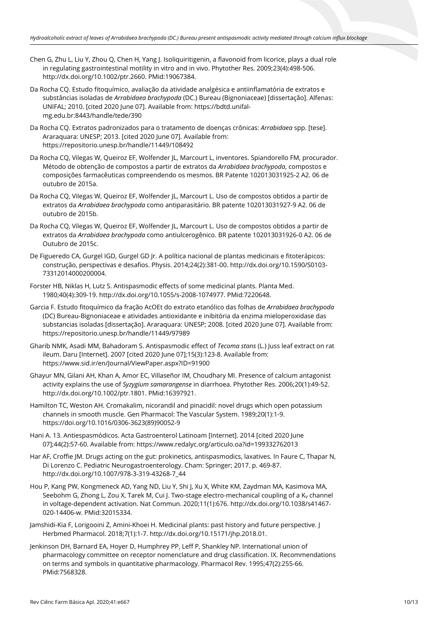- Chen G, Zhu L, Liu Y, Zhou Q, Chen H, Yang J. Isoliquiritigenin, a flavonoid from licorice, plays a dual role in regulating gastrointestinal motility in vitro and in vivo. Phytother Res. 2009;23(4):498-506. [http://dx.doi.org/10.1002/ptr.2660.](https://doi.org/10.1002/ptr.2660) [PMid:19067384.](https://www.ncbi.nlm.nih.gov/entrez/query.fcgi?cmd=Retrieve&db=PubMed&list_uids=19067384&dopt=Abstract)
- Da Rocha CQ. Estudo fitoquímico, avaliação da atividade analgésica e antiinflamatória de extratos e substâncias isoladas de *Arrabidaea brachypoda* (DC.) Bureau (Bignoniaceae) [dissertação]. Alfenas: UNIFAL; 2010. [cited 2020 June 07]. Available from: https://bdtd.unifalmg.edu.br:8443/handle/tede/390
- Da Rocha CQ. Extratos padronizados para o tratamento de doenças crônicas: *Arrabidaea* spp. [tese]. Araraquara: UNESP; 2013. [cited 2020 June 07]. Available from: https://repositorio.unesp.br/handle/11449/108492
- Da Rocha CQ, Vilegas W, Queiroz EF, Wolfender JL, Marcourt L, inventores. Spiandorello FM, procurador. Método de obtenção de compostos a partir de extratos da *Arrabidaea brachypoda*, compostos e composições farmacêuticas compreendendo os mesmos. BR Patente 102013031925-2 A2. 06 de outubro de 2015a.
- Da Rocha CQ, Vilegas W, Queiroz EF, Wolfender JL, Marcourt L. Uso de compostos obtidos a partir de extratos da *Arrabidaea brachypoda* como antiparasitário. BR patente 102013031927-9 A2. 06 de outubro de 2015b.
- Da Rocha CQ, Vilegas W, Queiroz EF, Wolfender JL, Marcourt L. Uso de compostos obtidos a partir de extratos da *Arrabidaea brachypoda* como antiulcerogênico. BR patente 102013031926-0 A2. 06 de Outubro de 2015c.
- De Figueredo CA, Gurgel IGD, Gurgel GD Jr. A política nacional de plantas medicinais e fitoterápicos: construção, perspectivas e desafios. Physis. 2014;24(2):381-00. [http://dx.doi.org/10.1590/S0103-](https://doi.org/10.1590/S0103-73312014000200004) [73312014000200004.](https://doi.org/10.1590/S0103-73312014000200004)
- Forster HB, Niklas H, Lutz S. Antispasmodic effects of some medicinal plants. Planta Med. 1980;40(4):309-19. [http://dx.doi.org/10.1055/s-2008-1074977.](https://doi.org/10.1055/s-2008-1074977) [PMid:7220648.](https://www.ncbi.nlm.nih.gov/entrez/query.fcgi?cmd=Retrieve&db=PubMed&list_uids=7220648&dopt=Abstract)
- Garcia F. Estudo fitoquímico da fração AcOEt do extrato etanólico das folhas de *Arrabidaea brachypoda* (DC) Bureau-Bignoniaceae e atividades antioxidante e inibitória da enzima mieloperoxidase das substancias isoladas [dissertação]. Araraquara: UNESP; 2008. [cited 2020 June 07]. Available from: https://repositorio.unesp.br/handle/11449/97989
- Gharib NMK, Asadi MM, Bahadoram S. Antispasmodic effect of *Tecoma stans* (L.) Juss leaf extract on rat ileum. Daru [Internet]. 2007 [cited 2020 June 07];15(3):123-8. Available from: https://www.sid.ir/en/Journal/ViewPaper.aspx?ID=91900
- Ghayur MN, Gilani AH, Khan A, Amor EC, Villaseñor IM, Choudhary MI. Presence of calcium antagonist activity explains the use of *Syzygium samarangense* in diarrhoea. Phytother Res. 2006;20(1):49-52. [http://dx.doi.org/10.1002/ptr.1801.](https://doi.org/10.1002/ptr.1801) [PMid:16397921.](https://www.ncbi.nlm.nih.gov/entrez/query.fcgi?cmd=Retrieve&db=PubMed&list_uids=16397921&dopt=Abstract)
- Hamilton TC, Weston AH. Cromakalim, nicorandil and pinacidil: novel drugs which open potassium channels in smooth muscle. Gen Pharmacol: The Vascular System. 1989;20(1):1-9. https://doi.org/10.1016/0306-3623(89)90052-9
- Hani A. 13. Antiespasmódicos. Acta Gastroenterol Latinoam [Internet]. 2014 [cited 2020 June 07];44(2):57-60. Available from: https://www.redalyc.org/articulo.oa?id=199332762013
- Har AF, Croffie JM. Drugs acting on the gut: prokinetics, antispasmodics, laxatives. In Faure C, Thapar N, Di Lorenzo C. Pediatric Neurogastroenterology. Cham: Springer; 2017. p. 469-87. http://dx.doi.org/10.1007/978-3-319-43268-7\_44
- Hou P, Kang PW, Kongmeneck AD, Yang ND, Liu Y, Shi J, Xu X, White KM, Zaydman MA, Kasimova MA, Seebohm G, Zhong L, Zou X, Tarek M, Cui J. Two-stage electro-mechanical coupling of a K<sub>V</sub> channel in voltage-dependent activation. Nat Commun. 2020;11(1):676[. http://dx.doi.org/10.1038/s41467-](https://doi.org/10.1038/s41467-020-14406-w) [020-14406-w.](https://doi.org/10.1038/s41467-020-14406-w) [PMid:32015334.](https://www.ncbi.nlm.nih.gov/entrez/query.fcgi?cmd=Retrieve&db=PubMed&list_uids=32015334&dopt=Abstract)
- Jamshidi-Kia F, Lorigooini Z, Amini-Khoei H. Medicinal plants: past history and future perspective. J Herbmed Pharmacol. 2018;7(1):1-7. [http://dx.doi.org/10.15171/jhp.2018.01.](https://doi.org/10.15171/jhp.2018.01)
- Jenkinson DH, Barnard EA, Hoyer D, Humphrey PP, Leff P, Shankley NP. International union of pharmacology committee on receptor nomenclature and drug classification. IX. Recommendations on terms and symbols in quantitative pharmacology. Pharmacol Rev. 1995;47(2):255-6[6.](https://www.ncbi.nlm.nih.gov/entrez/query.fcgi?cmd=Retrieve&db=PubMed&list_uids=7568328&dopt=Abstract) [PMid:7568328.](https://www.ncbi.nlm.nih.gov/entrez/query.fcgi?cmd=Retrieve&db=PubMed&list_uids=7568328&dopt=Abstract)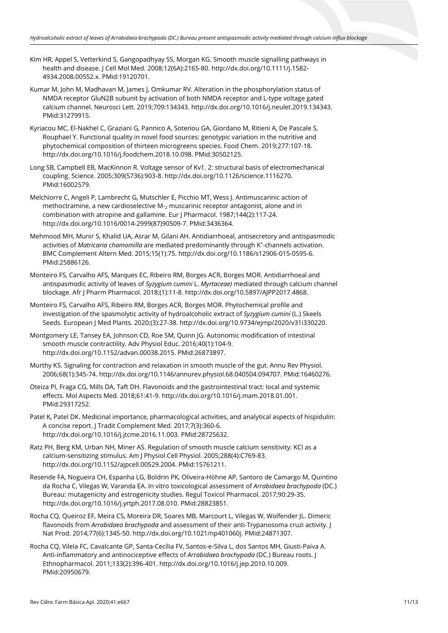- Kim HR, Appel S, Vetterkind S, Gangopadhyay SS, Morgan KG. Smooth muscle signalling pathways in health and disease. J Cell Mol Med. 2008;12(6A):2165-80[. http://dx.doi.org/10.1111/j.1582-](https://doi.org/10.1111/j.1582-4934.2008.00552.x) [4934.2008.00552.x.](https://doi.org/10.1111/j.1582-4934.2008.00552.x) [PMid:19120701.](https://www.ncbi.nlm.nih.gov/entrez/query.fcgi?cmd=Retrieve&db=PubMed&list_uids=19120701&dopt=Abstract)
- Kumar M, John M, Madhavan M, James J, Omkumar RV. Alteration in the phosphorylation status of NMDA receptor GluN2B subunit by activation of both NMDA receptor and L-type voltage gated calcium channel. Neurosci Lett. 2019;709:134343[. http://dx.doi.org/10.1016/j.neulet.2019.134343.](https://doi.org/10.1016/j.neulet.2019.134343) [PMid:31279915.](https://www.ncbi.nlm.nih.gov/entrez/query.fcgi?cmd=Retrieve&db=PubMed&list_uids=31279915&dopt=Abstract)
- Kyriacou MC, El-Nakhel C, Graziani G, Pannico A, Soteriou GA, Giordano M, Ritieni A, De Pascale S, Rouphael Y. Functional quality in novel food sources: genotypic variation in the nutritive and phytochemical composition of thirteen microgreens species. Food Chem. 2019;277:107-18. [http://dx.doi.org/10.1016/j.foodchem.2018.10.098.](https://doi.org/10.1016/j.foodchem.2018.10.098) [PMid:30502125.](https://www.ncbi.nlm.nih.gov/entrez/query.fcgi?cmd=Retrieve&db=PubMed&list_uids=30502125&dopt=Abstract)
- Long SB, Campbell EB, MacKinnon R. Voltage sensor of Kv1. 2: structural basis of electromechanical coupling. Science. 2005;309(5736):903-8[. http://dx.doi.org/10.1126/science.1116270.](https://doi.org/10.1126/science.1116270) [PMid:16002579.](https://www.ncbi.nlm.nih.gov/entrez/query.fcgi?cmd=Retrieve&db=PubMed&list_uids=16002579&dopt=Abstract)
- Melchiorre C, Angeli P, Lambrecht G, Mutschler E, Picchio MT, Wess J. Antimuscarinic action of methoctramine, a new cardioselective M-2 muscarinic receptor antagonist, alone and in combination with atropine and gallamine. Eur J Pharmacol. 1987;144(2):117-24. [http://dx.doi.org/10.1016/0014-2999\(87\)90509-7.](https://doi.org/10.1016/0014-2999(87)90509-7) [PMid:3436364.](https://www.ncbi.nlm.nih.gov/entrez/query.fcgi?cmd=Retrieve&db=PubMed&list_uids=3436364&dopt=Abstract)
- Mehmood MH, Munir S, Khalid UA, Asrar M, Gilani AH. Antidiarrhoeal, antisecretory and antispasmodic activities of *Matricaria chamomilla* are mediated predominantly through K<sup>+</sup>-channels activation. BMC Complement Altern Med. 2015;15(1):75[. http://dx.doi.org/10.1186/s12906-015-0595-6](https://doi.org/10.1186/s12906-015-0595-6)[.](https://www.ncbi.nlm.nih.gov/entrez/query.fcgi?cmd=Retrieve&db=PubMed&list_uids=25886126&dopt=Abstract) [PMid:25886126.](https://www.ncbi.nlm.nih.gov/entrez/query.fcgi?cmd=Retrieve&db=PubMed&list_uids=25886126&dopt=Abstract)
- Monteiro FS, Carvalho AFS, Marques EC, Ribeiro RM, Borges ACR, Borges MOR. Antidiarrhoeal and antispasmodic activity of leaves of *Syzygium cumini* L. *Myrtaceae)* mediated through calcium channel blockage. Afr J Pharm Pharmacol. 2018;(1):11-8. http://dx.doi.org/10.5897/AJPP2017.4868.
- Monteiro FS, Carvalho AFS, Ribeiro RM, Borges ACR, Borges MOR. Phytochemical profile and investigation of the spasmolytic activity of hydroalcoholic extract of *Syzygium cumini* (L.) Skeels Seeds. European J Med Plants. 2020;(3):27-38. [http://dx.doi.org/10.9734/ejmp/2020/v31i330220.](https://doi.org/10.9734/ejmp/2020/v31i330220)
- Montgomery LE, Tansey EA, Johnson CD, Roe SM, Quinn JG. Autonomic modification of intestinal smooth muscle contractility. Adv Physiol Educ. 2016;40(1):104-9. [http://dx.doi.org/10.1152/advan.00038.2015.](https://doi.org/10.1152/advan.00038.2015) [PMid:26873897.](https://www.ncbi.nlm.nih.gov/entrez/query.fcgi?cmd=Retrieve&db=PubMed&list_uids=26873897&dopt=Abstract)
- Murthy KS. Signaling for contraction and relaxation in smooth muscle of the gut. Annu Rev Physiol. 2006;68(1):345-74. [http://dx.doi.org/10.1146/annurev.physiol.68.040504.094707.](https://doi.org/10.1146/annurev.physiol.68.040504.094707) [PMid:16460276.](https://www.ncbi.nlm.nih.gov/entrez/query.fcgi?cmd=Retrieve&db=PubMed&list_uids=16460276&dopt=Abstract)
- Oteiza PI, Fraga CG, Mills DA, Taft DH. Flavonoids and the gastrointestinal tract: local and systemic effects. Mol Aspects Med. 2018;61:41-9. [http://dx.doi.org/10.1016/j.mam.2018.01.001](https://doi.org/10.1016/j.mam.2018.01.001)[.](https://www.ncbi.nlm.nih.gov/entrez/query.fcgi?cmd=Retrieve&db=PubMed&list_uids=29317252&dopt=Abstract) [PMid:29317252.](https://www.ncbi.nlm.nih.gov/entrez/query.fcgi?cmd=Retrieve&db=PubMed&list_uids=29317252&dopt=Abstract)
- Patel K, Patel DK. Medicinal importance, pharmacological activities, and analytical aspects of hispidulin: A concise report. J Tradit Complement Med. 2017;7(3):360-6. [http://dx.doi.org/10.1016/j.jtcme.2016.11.003.](https://doi.org/10.1016/j.jtcme.2016.11.003) [PMid:28725632.](https://www.ncbi.nlm.nih.gov/entrez/query.fcgi?cmd=Retrieve&db=PubMed&list_uids=28725632&dopt=Abstract)
- Ratz PH, Berg KM, Urban NH, Miner AS. Regulation of smooth muscle calcium sensitivity: KCl as a calcium-sensitizing stimulus. Am J Physiol Cell Physiol. 2005;288(4):C769-83. [http://dx.doi.org/10.1152/ajpcell.00529.2004.](https://doi.org/10.1152/ajpcell.00529.2004) [PMid:15761211.](https://www.ncbi.nlm.nih.gov/entrez/query.fcgi?cmd=Retrieve&db=PubMed&list_uids=15761211&dopt=Abstract)
- Resende FA, Nogueira CH, Espanha LG, Boldrin PK, Oliveira-Höhne AP, Santoro de Camargo M, Quintino da Rocha C, Vilegas W, Varanda EA. In vitro toxicological assessment of *Arrabidaea brachypoda* (DC.) Bureau: mutagenicity and estrogenicity studies. Regul Toxicol Pharmacol. 2017;90:29-35. [http://dx.doi.org/10.1016/j.yrtph.2017.08.010.](https://doi.org/10.1016/j.yrtph.2017.08.010) [PMid:28823851.](https://www.ncbi.nlm.nih.gov/entrez/query.fcgi?cmd=Retrieve&db=PubMed&list_uids=28823851&dopt=Abstract)
- Rocha CQ, Queiroz EF, Meira CS, Moreira DR, Soares MB, Marcourt L, Vilegas W, Wolfender JL. Dimeric flavonoids from *Arrabidaea brachypoda* and assessment of their anti-Trypanosoma cruzi activity. J Nat Prod. 2014;77(6):1345-50[. http://dx.doi.org/10.1021/np401060j.](https://doi.org/10.1021/np401060j) [PMid:24871307.](https://www.ncbi.nlm.nih.gov/entrez/query.fcgi?cmd=Retrieve&db=PubMed&list_uids=24871307&dopt=Abstract)
- Rocha CQ, Vilela FC, Cavalcante GP, Santa-Cecília FV, Santos-e-Silva L, dos Santos MH, Giusti-Paiva A. Anti-inflammatory and antinociceptive effects of *Arrabidaea brachypoda* (DC.) Bureau roots. J Ethnopharmacol. 2011;133(2):396-401. [http://dx.doi.org/10.1016/j.jep.2010.10.009.](https://doi.org/10.1016/j.jep.2010.10.009) [PMid:20950679.](https://www.ncbi.nlm.nih.gov/entrez/query.fcgi?cmd=Retrieve&db=PubMed&list_uids=20950679&dopt=Abstract)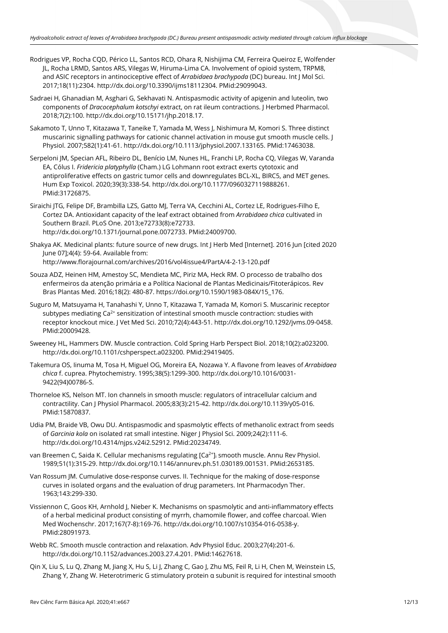- Rodrigues VP, Rocha CQD, Périco LL, Santos RCD, Ohara R, Nishijima CM, Ferreira Queiroz E, Wolfender JL, Rocha LRMD, Santos ARS, Vilegas W, Hiruma-Lima CA. Involvement of opioid system, TRPM8, and ASIC receptors in antinociceptive effect of *Arrabidaea brachypoda* (DC) bureau. Int J Mol Sci. 2017;18(11):2304. [http://dx.doi.org/10.3390/ijms18112304.](https://doi.org/10.3390/ijms18112304) [PMid:29099043.](https://www.ncbi.nlm.nih.gov/entrez/query.fcgi?cmd=Retrieve&db=PubMed&list_uids=29099043&dopt=Abstract)
- Sadraei H, Ghanadian M, Asghari G, Sekhavati N. Antispasmodic activity of apigenin and luteolin, two components of *Dracocephalum kotschyi* extract, on rat ileum contractions. J Herbmed Pharmacol. 2018;7(2):100[. http://dx.doi.org/10.15171/jhp.2018.17.](https://doi.org/10.15171/jhp.2018.17)
- Sakamoto T, Unno T, Kitazawa T, Taneike T, Yamada M, Wess J, Nishimura M, Komori S. Three distinct muscarinic signalling pathways for cationic channel activation in mouse gut smooth muscle cells. J Physiol. 2007;582(1):41-61[. http://dx.doi.org/10.1113/jphysiol.2007.133165.](https://doi.org/10.1113/jphysiol.2007.133165) [PMid:17463038.](https://www.ncbi.nlm.nih.gov/entrez/query.fcgi?cmd=Retrieve&db=PubMed&list_uids=17463038&dopt=Abstract)
- Serpeloni JM, Specian AFL, Ribeiro DL, Benício LM, Nunes HL, Franchi LP, Rocha CQ, Vilegas W, Varanda EA, Cólus I. *Fridericia platyphylla* (Cham.) LG Lohmann root extract exerts cytotoxic and antiproliferative effects on gastric tumor cells and downregulates BCL-XL, BIRC5, and MET genes. Hum Exp Toxicol. 2020;39(3):338-54[. http://dx.doi.org/10.1177/0960327119888261.](https://doi.org/10.1177/0960327119888261) [PMid:31726875.](https://www.ncbi.nlm.nih.gov/entrez/query.fcgi?cmd=Retrieve&db=PubMed&list_uids=31726875&dopt=Abstract)
- Siraichi JTG, Felipe DF, Brambilla LZS, Gatto MJ, Terra VA, Cecchini AL, Cortez LE, Rodrigues-Filho E, Cortez DA. Antioxidant capacity of the leaf extract obtained from *Arrabidaea chica* cultivated in Southern Brazil. PLoS One. 2013;e72733(8):e72733. [http://dx.doi.org/10.1371/journal.pone.0072733.](https://doi.org/10.1371/journal.pone.0072733) [PMid:24009700.](https://www.ncbi.nlm.nih.gov/entrez/query.fcgi?cmd=Retrieve&db=PubMed&list_uids=24009700&dopt=Abstract)
- Shakya AK. Medicinal plants: future source of new drugs. Int J Herb Med [Internet]. 2016 Jun [cited 2020 June 07];4(4): 59-64. Available from: http://www.florajournal.com/archives/2016/vol4issue4/PartA/4-2-13-120.pdf
- Souza ADZ, Heinen HM, Amestoy SC, Mendieta MC, Piriz MA, Heck RM. O processo de trabalho dos enfermeiros da atenção primária e a Política Nacional de Plantas Medicinais/Fitoterápicos. Rev Bras Plantas Med. 2016;18(2): 480-87. https://doi.org/10.1590/1983-084X/15\_176.
- Suguro M, Matsuyama H, Tanahashi Y, Unno T, Kitazawa T, Yamada M, Komori S. Muscarinic receptor subtypes mediating  $Ca<sup>2+</sup>$  sensitization of intestinal smooth muscle contraction: studies with receptor knockout mice. J Vet Med Sci. 2010;72(4):443-51. [http://dx.doi.org/10.1292/jvms.09-0458](https://doi.org/10.1292/jvms.09-0458)[.](https://www.ncbi.nlm.nih.gov/entrez/query.fcgi?cmd=Retrieve&db=PubMed&list_uids=20009428&dopt=Abstract) [PMid:20009428.](https://www.ncbi.nlm.nih.gov/entrez/query.fcgi?cmd=Retrieve&db=PubMed&list_uids=20009428&dopt=Abstract)
- Sweeney HL, Hammers DW. Muscle contraction. Cold Spring Harb Perspect Biol. 2018;10(2):a023200. [http://dx.doi.org/10.1101/cshperspect.a023200.](https://doi.org/10.1101/cshperspect.a023200) [PMid:29419405.](https://www.ncbi.nlm.nih.gov/entrez/query.fcgi?cmd=Retrieve&db=PubMed&list_uids=29419405&dopt=Abstract)
- Takemura OS, Iinuma M, Tosa H, Miguel OG, Moreira EA, Nozawa Y. A flavone from leaves of *Arrabidaea chica* f. cuprea. Phytochemistry. 1995;38(5):1299-300[. http://dx.doi.org/10.1016/0031-](https://doi.org/10.1016/0031-9422(94)00786-S) [9422\(94\)00786-S.](https://doi.org/10.1016/0031-9422(94)00786-S)
- Thorneloe KS, Nelson MT. Ion channels in smooth muscle: regulators of intracellular calcium and contractility. Can J Physiol Pharmacol. 2005;83(3):215-42. [http://dx.doi.org/10.1139/y05-016.](https://doi.org/10.1139/y05-016) [PMid:15870837.](https://www.ncbi.nlm.nih.gov/entrez/query.fcgi?cmd=Retrieve&db=PubMed&list_uids=15870837&dopt=Abstract)
- Udia PM, Braide VB, Owu DU. Antispasmodic and spasmolytic effects of methanolic extract from seeds of *Garcinia kola* on isolated rat small intestine. Niger J Physiol Sci. 2009;24(2):111-6. http://dx.doi.org/10.4314/njps.v24i2.52912. [PMid:20234749.](https://www.ncbi.nlm.nih.gov/entrez/query.fcgi?cmd=Retrieve&db=PubMed&list_uids=20234749&dopt=Abstract)
- van Breemen C, Saida K. Cellular mechanisms regulating [Ca<sup>2+</sup>], smooth muscle. Annu Rev Physiol. 1989;51(1):315-29. [http://dx.doi.org/10.1146/annurev.ph.51.030189.001531.](https://doi.org/10.1146/annurev.ph.51.030189.001531) [PMid:2653185.](https://www.ncbi.nlm.nih.gov/entrez/query.fcgi?cmd=Retrieve&db=PubMed&list_uids=2653185&dopt=Abstract)
- Van Rossum JM. Cumulative dose-response curves. II. Technique for the making of dose-response curves in isolated organs and the evaluation of drug parameters. Int Pharmacodyn Ther. 1963;143:299-330.
- Vissiennon C, Goos KH, Arnhold J, Nieber K. Mechanisms on spasmolytic and anti-inflammatory effects of a herbal medicinal product consisting of myrrh, chamomile flower, and coffee charcoal. Wien Med Wochenschr. 2017;167(7-8):169-76[. http://dx.doi.org/10.1007/s10354-016-0538-y](https://doi.org/10.1007/s10354-016-0538-y)[.](https://www.ncbi.nlm.nih.gov/entrez/query.fcgi?cmd=Retrieve&db=PubMed&list_uids=28091973&dopt=Abstract) [PMid:28091973.](https://www.ncbi.nlm.nih.gov/entrez/query.fcgi?cmd=Retrieve&db=PubMed&list_uids=28091973&dopt=Abstract)
- Webb RC. Smooth muscle contraction and relaxation. Adv Physiol Educ. 2003;27(4):201-6. [http://dx.doi.org/10.1152/advances.2003.27.4.201.](https://doi.org/10.1152/advances.2003.27.4.201) [PMid:14627618.](https://www.ncbi.nlm.nih.gov/entrez/query.fcgi?cmd=Retrieve&db=PubMed&list_uids=14627618&dopt=Abstract)
- Qin X, Liu S, Lu Q, Zhang M, Jiang X, Hu S, Li J, Zhang C, Gao J, Zhu MS, Feil R, Li H, Chen M, Weinstein LS, Zhang Y, Zhang W. Heterotrimeric G stimulatory protein α subunit is required for intestinal smooth